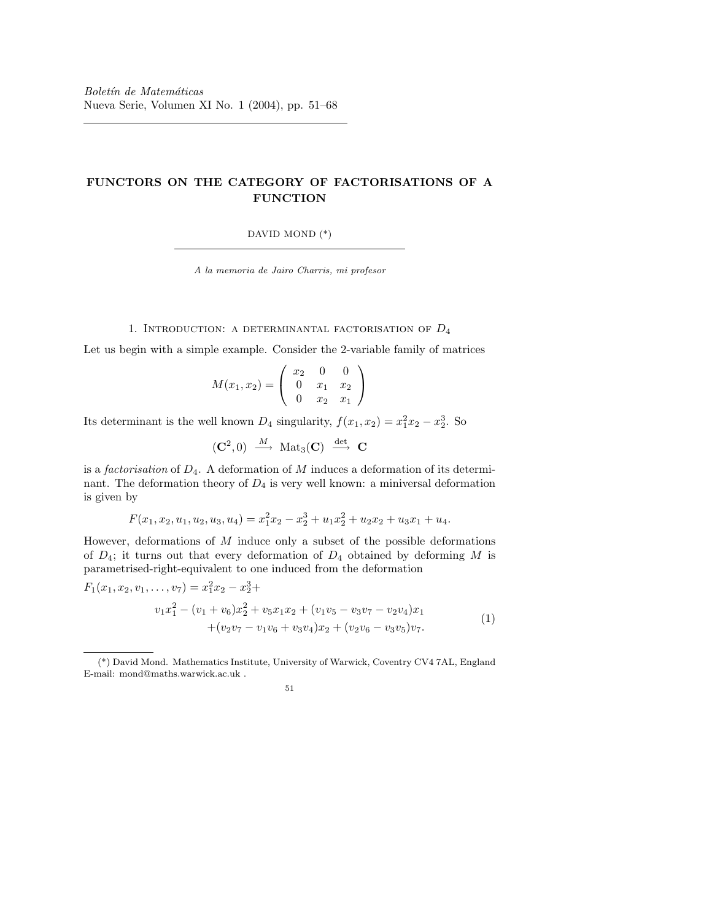# FUNCTORS ON THE CATEGORY OF FACTORISATIONS OF A FUNCTION

DAVID MOND (\*)

A la memoria de Jairo Charris, mi profesor

## 1. INTRODUCTION: A DETERMINANTAL FACTORISATION OF  $D_4$

Let us begin with a simple example. Consider the 2-variable family of matrices

$$
M(x_1, x_2) = \begin{pmatrix} x_2 & 0 & 0 \\ 0 & x_1 & x_2 \\ 0 & x_2 & x_1 \end{pmatrix}
$$

Its determinant is the well known  $D_4$  singularity,  $f(x_1, x_2) = x_1^2 x_2 - x_2^3$ . So

$$
(\mathbf{C}^2,0) \stackrel{M}{\longrightarrow} \text{Mat}_3(\mathbf{C}) \stackrel{\text{det}}{\longrightarrow} \mathbf{C}
$$

is a *factorisation* of  $D_4$ . A deformation of M induces a deformation of its determinant. The deformation theory of  $D_4$  is very well known: a miniversal deformation is given by

$$
F(x_1, x_2, u_1, u_2, u_3, u_4) = x_1^2 x_2 - x_2^3 + u_1 x_2^2 + u_2 x_2 + u_3 x_1 + u_4.
$$

However, deformations of  $M$  induce only a subset of the possible deformations of  $D_4$ ; it turns out that every deformation of  $D_4$  obtained by deforming M is parametrised-right-equivalent to one induced from the deformation

$$
F_1(x_1, x_2, v_1, \dots, v_7) = x_1^2 x_2 - x_2^3 +
$$
  
\n
$$
v_1 x_1^2 - (v_1 + v_6)x_2^2 + v_5 x_1 x_2 + (v_1 v_5 - v_3 v_7 - v_2 v_4) x_1
$$
  
\n
$$
+ (v_2 v_7 - v_1 v_6 + v_3 v_4) x_2 + (v_2 v_6 - v_3 v_5) v_7.
$$
\n(1)

<sup>(\*)</sup> David Mond. Mathematics Institute, University of Warwick, Coventry CV4 7AL, England E-mail: mond@maths.warwick.ac.uk .

<sup>51</sup>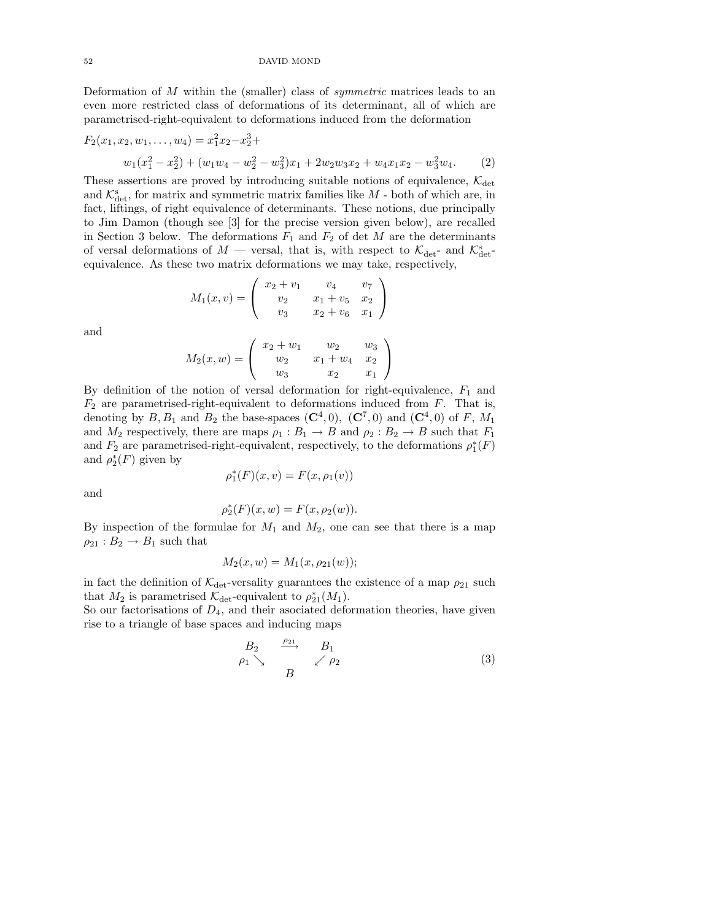Deformation of  $M$  within the (smaller) class of *symmetric* matrices leads to an even more restricted class of deformations of its determinant, all of which are parametrised-right-equivalent to deformations induced from the deformation

$$
F_2(x_1, x_2, w_1, \dots, w_4) = x_1^2 x_2 - x_2^3 +
$$
  
\n
$$
w_1(x_1^2 - x_2^2) + (w_1 w_4 - w_2^2 - w_3^2) x_1 + 2 w_2 w_3 x_2 + w_4 x_1 x_2 - w_3^2 w_4.
$$
 (2)

These assertions are proved by introducing suitable notions of equivalence,  $\mathcal{K}_{\text{det}}$ and  $\mathcal{K}^s_\text{det}$ , for matrix and symmetric matrix families like  $M$  - both of which are, in fact, liftings, of right equivalence of determinants. These notions, due principally to Jim Damon (though see [3] for the precise version given below), are recalled in Section 3 below. The deformations  $F_1$  and  $F_2$  of det M are the determinants of versal deformations of  $M$  — versal, that is, with respect to  $\mathcal{K}_{\text{det}}$ - and  $\mathcal{K}_{\text{det}}^{\text{s}}$ equivalence. As these two matrix deformations we may take, respectively,

$$
M_1(x,v) = \begin{pmatrix} x_2 + v_1 & v_4 & v_7 \ v_2 & x_1 + v_5 & x_2 \ v_3 & x_2 + v_6 & x_1 \end{pmatrix}
$$

and

$$
M_2(x, w) = \begin{pmatrix} x_2 + w_1 & w_2 & w_3 \ w_2 & x_1 + w_4 & x_2 \ w_3 & x_2 & x_1 \end{pmatrix}
$$

By definition of the notion of versal deformation for right-equivalence,  $F_1$  and  $F_2$  are parametrised-right-equivalent to deformations induced from  $F$ . That is, denoting by  $B, B_1$  and  $B_2$  the base-spaces  $(\mathbb{C}^4, 0)$ ,  $(\mathbb{C}^7, 0)$  and  $(\mathbb{C}^4, 0)$  of F,  $M_1$ and  $M_2$  respectively, there are maps  $\rho_1 : B_1 \to B$  and  $\rho_2 : B_2 \to B$  such that  $F_1$ and  $F_2$  are parametrised-right-equivalent, respectively, to the deformations  $\rho_1^*(F)$ and  $\rho_2^*(F)$  given by

$$
\rho_1^*(F)(x, v) = F(x, \rho_1(v))
$$

and

$$
\rho_2^*(F)(x, w) = F(x, \rho_2(w)).
$$

By inspection of the formulae for  $M_1$  and  $M_2$ , one can see that there is a map  $\rho_{21}: B_2 \to B_1$  such that

$$
M_2(x, w) = M_1(x, \rho_{21}(w));
$$

in fact the definition of  $\mathcal{K}_{\text{det}}$ -versality guarantees the existence of a map  $\rho_{21}$  such that  $M_2$  is parametrised  $\mathcal{K}_{\text{det}}$ -equivalent to  $\rho_{21}^*(M_1)$ .

So our factorisations of  $D_4$ , and their asociated deformation theories, have given rise to a triangle of base spaces and inducing maps

$$
\begin{array}{ccc}\nB_2 & \xrightarrow{\rho_{21}} & B_1 \\
\rho_1 \searrow & & \nearrow \rho_2\n\end{array} \tag{3}
$$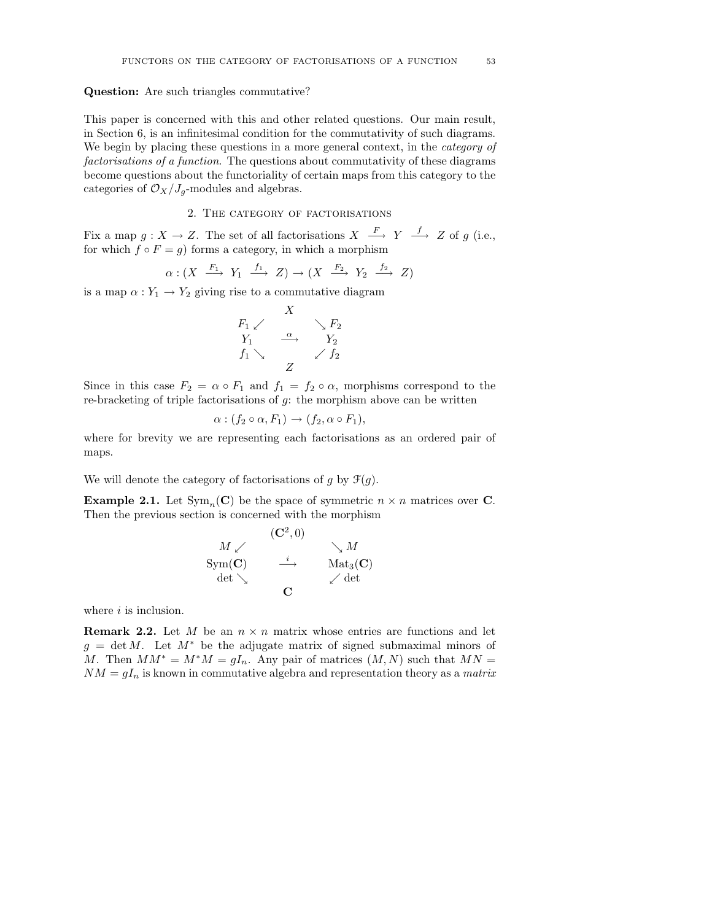### Question: Are such triangles commutative?

This paper is concerned with this and other related questions. Our main result, in Section 6, is an infinitesimal condition for the commutativity of such diagrams. We begin by placing these questions in a more general context, in the *category of* factorisations of a function. The questions about commutativity of these diagrams become questions about the functoriality of certain maps from this category to the categories of  $\mathcal{O}_X/J_g$ -modules and algebras.

## 2. The category of factorisations

Fix a map  $g: X \to Z$ . The set of all factorisations  $X \stackrel{F}{\longrightarrow} Y \stackrel{f}{\longrightarrow} Z$  of g (i.e., for which  $f \circ F = g$ ) forms a category, in which a morphism

$$
\alpha: (X \xrightarrow{F_1} Y_1 \xrightarrow{f_1} Z) \to (X \xrightarrow{F_2} Y_2 \xrightarrow{f_2} Z)
$$

is a map  $\alpha: Y_1 \to Y_2$  giving rise to a commutative diagram

$$
\begin{array}{ccc}\n & X & \\
F_1 \swarrow & & \searrow F_2 \\
Y_1 & \xrightarrow{\alpha} & Y_2 \\
f_1 \searrow & & \swarrow f_2\n\end{array}
$$

Since in this case  $F_2 = \alpha \circ F_1$  and  $f_1 = f_2 \circ \alpha$ , morphisms correspond to the re-bracketing of triple factorisations of g: the morphism above can be written

$$
\alpha : (f_2 \circ \alpha, F_1) \to (f_2, \alpha \circ F_1),
$$

where for brevity we are representing each factorisations as an ordered pair of maps.

We will denote the category of factorisations of g by  $\mathcal{F}(g)$ .

**Example 2.1.** Let  $Sym_n(\mathbf{C})$  be the space of symmetric  $n \times n$  matrices over **C**. Then the previous section is concerned with the morphism

$$
\begin{array}{ccc}\n & & \textbf{(C}^2, 0) \\
M \swarrow & & \searrow M \\
\text{Sym}(\textbf{C}) & \xrightarrow{i} & \text{Mat}_3(\textbf{C}) \\
\text{det} \searrow & & \swarrow \text{det}\n\end{array}
$$

where  $i$  is inclusion.

**Remark 2.2.** Let M be an  $n \times n$  matrix whose entries are functions and let  $g = \det M$ . Let  $M^*$  be the adjugate matrix of signed submaximal minors of M. Then  $MM^* = M^*M = qI_n$ . Any pair of matrices  $(M, N)$  such that  $MN =$  $NM = gI_n$  is known in commutative algebra and representation theory as a *matrix*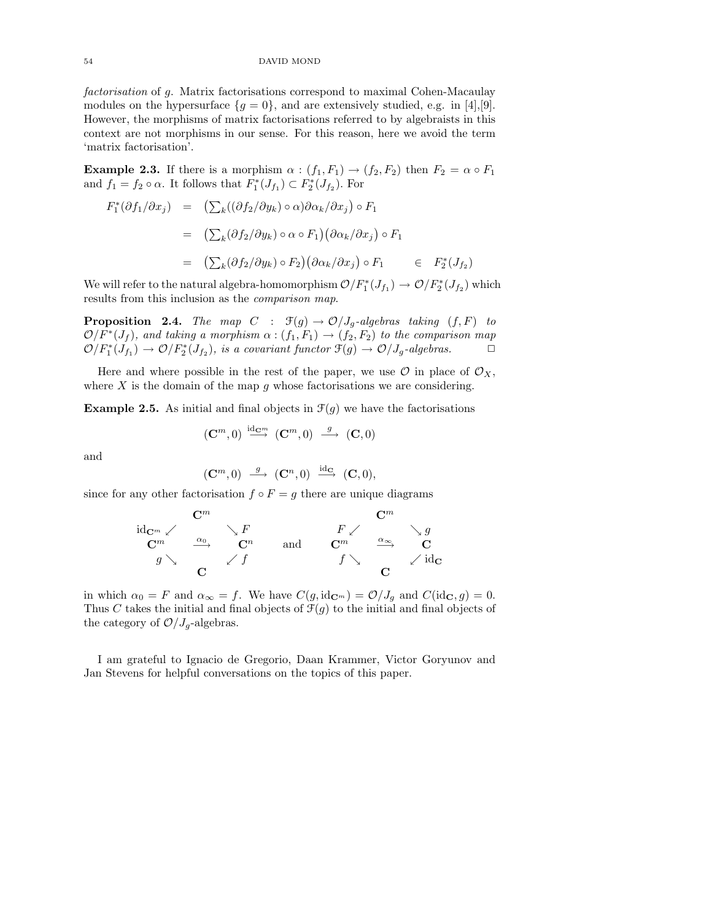54 DAVID MOND

factorisation of g. Matrix factorisations correspond to maximal Cohen-Macaulay modules on the hypersurface  $\{g = 0\}$ , and are extensively studied, e.g. in [4],[9]. However, the morphisms of matrix factorisations referred to by algebraists in this context are not morphisms in our sense. For this reason, here we avoid the term 'matrix factorisation'.

**Example 2.3.** If there is a morphism  $\alpha : (f_1, F_1) \rightarrow (f_2, F_2)$  then  $F_2 = \alpha \circ F_1$ and  $f_1 = f_2 \circ \alpha$ . It follows that  $F_1^*(J_{f_1}) \subset F_2^*(J_{f_2})$ . For

$$
F_1^*(\partial f_1/\partial x_j) = (\sum_k ((\partial f_2/\partial y_k) \circ \alpha) \partial \alpha_k/\partial x_j) \circ F_1
$$
  
\n
$$
= (\sum_k (\partial f_2/\partial y_k) \circ \alpha \circ F_1) (\partial \alpha_k/\partial x_j) \circ F_1
$$
  
\n
$$
= (\sum_k (\partial f_2/\partial y_k) \circ F_2) (\partial \alpha_k/\partial x_j) \circ F_1 \in F_2^*(J_{f_2})
$$

We will refer to the natural algebra-homomorphism  $\mathcal{O}/F_1^*(J_{f_1}) \to \mathcal{O}/F_2^*(J_{f_2})$  which results from this inclusion as the comparison map.

**Proposition 2.4.** The map  $C : \mathcal{F}(g) \to \mathcal{O}/J_q$ -algebras taking  $(f, F)$  to  $\mathcal{O}/F^*(J_f)$ , and taking a morphism  $\alpha$  :  $(f_1,F_1)\rightarrow (f_2,F_2)$  to the comparison map  $\mathcal{O}/F_1^*(J_{f_1}) \to \mathcal{O}/F_2^*(J_{f_2})$ , is a covariant functor  $\mathfrak{F}(g) \to \mathcal{O}/J_g$ -algebras.

Here and where possible in the rest of the paper, we use  $\mathcal O$  in place of  $\mathcal O_X$ , where  $X$  is the domain of the map  $g$  whose factorisations we are considering.

**Example 2.5.** As initial and final objects in  $\mathcal{F}(g)$  we have the factorisations

$$
(\mathbf{C}^m,0) \stackrel{\mathrm{id}_{\mathbf{C}^m}}{\longrightarrow} (\mathbf{C}^m,0) \stackrel{g}{\longrightarrow} (\mathbf{C},0)
$$

and

$$
(\mathbf{C}^m,0)\ \stackrel{g}{\longrightarrow}\ (\mathbf{C}^n,0)\ \stackrel{\mathrm{id}_{\mathbf{C}}}{\longrightarrow}\ (\mathbf{C},0),
$$

since for any other factorisation  $f \circ F = g$  there are unique diagrams

|                                      | $\mathbf{C}^m$ |       |     |                | $\mathbf{C}^m$    |                                       |
|--------------------------------------|----------------|-------|-----|----------------|-------------------|---------------------------------------|
| $\mathrm{id}_{\mathbf{C}^m}\swarrow$ |                | F     |     | F              |                   | $\boldsymbol{q}$                      |
| $C^m$                                | $\alpha_0$     | $C^n$ | and | $\mathbb{C}^m$ | $\alpha_{\infty}$ |                                       |
| $\boldsymbol{a}$                     |                |       |     |                |                   | $\mathrm{^{\prime}\,id}_{\mathbf{C}}$ |
|                                      |                |       |     |                |                   |                                       |

in which  $\alpha_0 = F$  and  $\alpha_\infty = f$ . We have  $C(g, id_{\mathbf{C}^m}) = \mathcal{O}/J_q$  and  $C(id_{\mathbf{C}}, g) = 0$ . Thus C takes the initial and final objects of  $\mathcal{F}(q)$  to the initial and final objects of the category of  $\mathcal{O}/J_q$ -algebras.

I am grateful to Ignacio de Gregorio, Daan Krammer, Victor Goryunov and Jan Stevens for helpful conversations on the topics of this paper.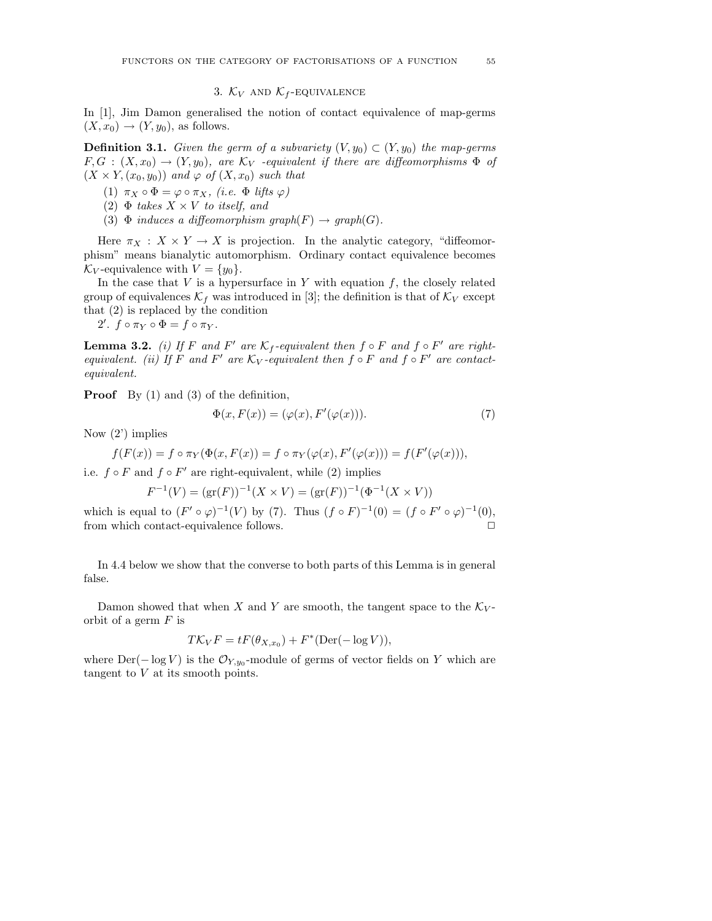### 3.  $K_V$  and  $K_f$ -equivalence

In [1], Jim Damon generalised the notion of contact equivalence of map-germs  $(X, x_0) \rightarrow (Y, y_0)$ , as follows.

**Definition 3.1.** Given the germ of a subvariety  $(V, y_0) \subset (Y, y_0)$  the map-germs  $F,G : (X,x_0) \to (Y,y_0)$ , are  $\mathcal{K}_V$  -equivalent if there are diffeomorphisms  $\Phi$  of  $(X \times Y, (x_0, y_0))$  and  $\varphi$  of  $(X, x_0)$  such that

(1)  $\pi_X \circ \Phi = \varphi \circ \pi_X$ , (i.e.  $\Phi$  lifts  $\varphi$ )

- (2)  $\Phi$  takes  $X \times V$  to itself, and
- (3)  $\Phi$  induces a diffeomorphism graph(F)  $\rightarrow$  graph(G).

Here  $\pi_X : X \times Y \to X$  is projection. In the analytic category, "diffeomorphism" means bianalytic automorphism. Ordinary contact equivalence becomes  $\mathcal{K}_V$ -equivalence with  $V = \{y_0\}.$ 

In the case that  $V$  is a hypersurface in  $Y$  with equation  $f$ , the closely related group of equivalences  $\mathcal{K}_f$  was introduced in [3]; the definition is that of  $\mathcal{K}_V$  except that (2) is replaced by the condition

2'.  $f \circ \pi_Y \circ \Phi = f \circ \pi_Y$ .

**Lemma 3.2.** (i) If F and F' are  $\mathcal{K}_f$ -equivalent then  $f \circ F$  and  $f \circ F'$  are rightequivalent. (ii) If F and F' are  $K_V$ -equivalent then  $f \circ F$  and  $f \circ F'$  are contactequivalent.

Proof By (1) and (3) of the definition,

$$
\Phi(x, F(x)) = (\varphi(x), F'(\varphi(x))). \tag{7}
$$

Now (2') implies

$$
f(F(x)) = f \circ \pi_Y(\Phi(x, F(x))) = f \circ \pi_Y(\varphi(x), F'(\varphi(x))) = f(F'(\varphi(x))),
$$

i.e.  $f \circ F$  and  $f \circ F'$  are right-equivalent, while (2) implies

$$
F^{-1}(V) = (\text{gr}(F))^{-1}(X \times V) = (\text{gr}(F))^{-1}(\Phi^{-1}(X \times V))
$$

which is equal to  $(F' \circ \varphi)^{-1}(V)$  by (7). Thus  $(f \circ F)^{-1}(0) = (f \circ F' \circ \varphi)^{-1}(0)$ , from which contact-equivalence follows.

In 4.4 below we show that the converse to both parts of this Lemma is in general false.

Damon showed that when X and Y are smooth, the tangent space to the  $K_V$ orbit of a germ  $F$  is

$$
T\mathcal{K}_V F = tF(\theta_{X,x_0}) + F^*(\text{Der}(-\log V)),
$$

where  $\text{Der}(-\log V)$  is the  $\mathcal{O}_{Y,y_0}$ -module of germs of vector fields on Y which are tangent to  $V$  at its smooth points.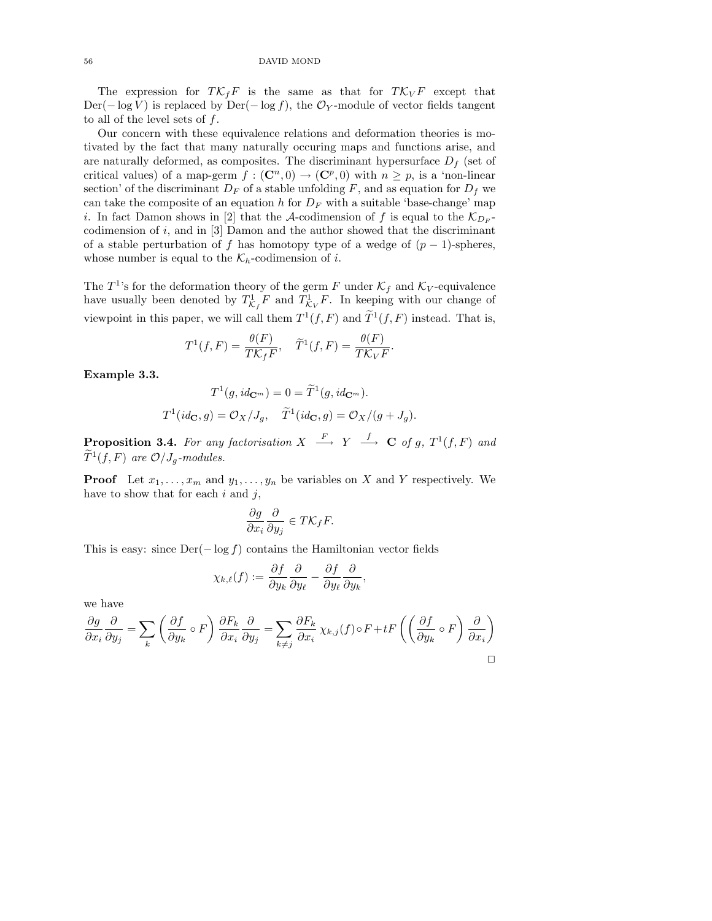The expression for  $T\mathcal{K}_fF$  is the same as that for  $T\mathcal{K}_VF$  except that Der( $-\log V$ ) is replaced by Der( $-\log f$ ), the  $\mathcal{O}_Y$ -module of vector fields tangent to all of the level sets of  $f$ .

Our concern with these equivalence relations and deformation theories is motivated by the fact that many naturally occuring maps and functions arise, and are naturally deformed, as composites. The discriminant hypersurface  $D_f$  (set of critical values) of a map-germ  $f : (\mathbb{C}^n, 0) \to (\mathbb{C}^p, 0)$  with  $n \geq p$ , is a 'non-linear section' of the discriminant  $D_F$  of a stable unfolding F, and as equation for  $D_f$  we can take the composite of an equation h for  $D_F$  with a suitable 'base-change' map *i*. In fact Damon shows in [2] that the A-codimension of f is equal to the  $\mathcal{K}_{D_F}$ codimension of  $i$ , and in [3] Damon and the author showed that the discriminant of a stable perturbation of f has homotopy type of a wedge of  $(p-1)$ -spheres, whose number is equal to the  $\mathcal{K}_h$ -codimension of *i*.

The  $T^1$ 's for the deformation theory of the germ F under  $\mathcal{K}_f$  and  $\mathcal{K}_V$ -equivalence have usually been denoted by  $T_{\mathcal{K}_f}^1 F$  and  $T_{\mathcal{K}_V}^1 F$ . In keeping with our change of viewpoint in this paper, we will call them  $T^1(f, F)$  and  $\widetilde{T}^1(f, F)$  instead. That is,

$$
T^1(f,F) = \frac{\theta(F)}{TK_fF}, \quad \widetilde{T}^1(f,F) = \frac{\theta(F)}{TK_VF}.
$$

Example 3.3.

$$
T^{1}(g, id_{\mathbf{C}^{m}}) = 0 = \widetilde{T}^{1}(g, id_{\mathbf{C}^{m}}).
$$

$$
T^{1}(id_{\mathbf{C}}, g) = \mathcal{O}_{X}/J_{g}, \quad \widetilde{T}^{1}(id_{\mathbf{C}}, g) = \mathcal{O}_{X}/(g + J_{g}).
$$

**Proposition 3.4.** For any factorisation  $X \stackrel{F}{\longrightarrow} Y \stackrel{f}{\longrightarrow} \mathbf{C}$  of g,  $T^1(f,F)$  and  $\widetilde{T}^1(f,F)$  are  $\mathcal{O}/J_g$ -modules.

**Proof** Let  $x_1, \ldots, x_m$  and  $y_1, \ldots, y_n$  be variables on X and Y respectively. We have to show that for each  $i$  and  $j$ ,

$$
\frac{\partial g}{\partial x_i} \frac{\partial}{\partial y_j} \in T \mathcal{K}_f F.
$$

This is easy: since  $\text{Der}(-\log f)$  contains the Hamiltonian vector fields

$$
\chi_{k,\ell}(f):=\frac{\partial f}{\partial y_k}\frac{\partial}{\partial y_\ell}-\frac{\partial f}{\partial y_\ell}\frac{\partial}{\partial y_k},
$$

we have

$$
\frac{\partial g}{\partial x_i} \frac{\partial}{\partial y_j} = \sum_k \left( \frac{\partial f}{\partial y_k} \circ F \right) \frac{\partial F_k}{\partial x_i} \frac{\partial}{\partial y_j} = \sum_{k \neq j} \frac{\partial F_k}{\partial x_i} \chi_{k,j}(f) \circ F + tF \left( \left( \frac{\partial f}{\partial y_k} \circ F \right) \frac{\partial}{\partial x_i} \right)
$$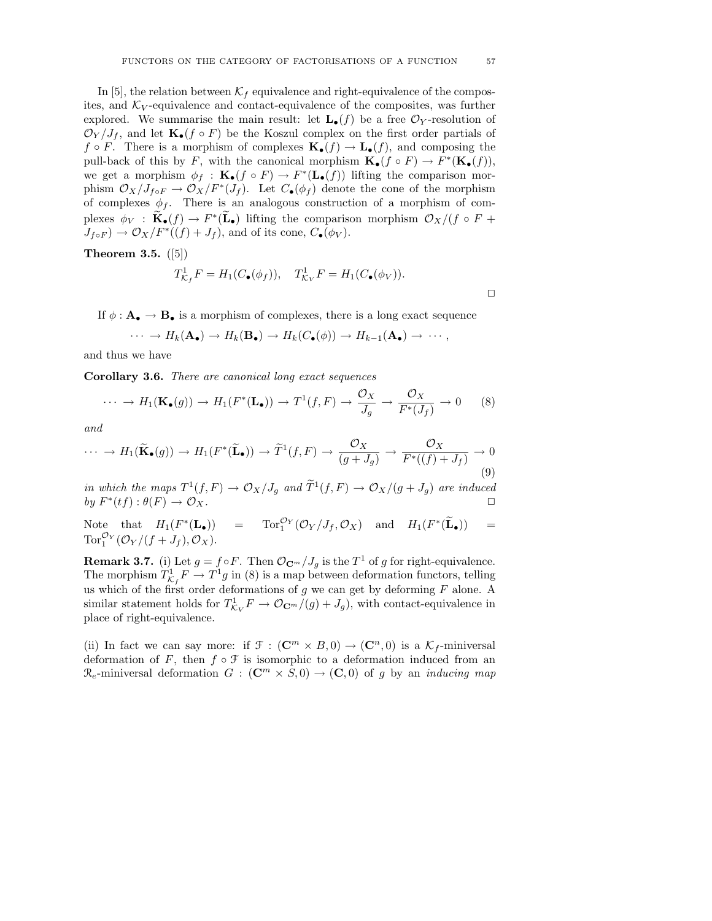In [5], the relation between  $\mathcal{K}_f$  equivalence and right-equivalence of the composites, and  $K_V$ -equivalence and contact-equivalence of the composites, was further explored. We summarise the main result: let  $\mathbf{L}_{\bullet}(f)$  be a free  $\mathcal{O}_Y$ -resolution of  $\mathcal{O}_Y/J_f$ , and let  $\mathbf{K}_{\bullet}(f \circ F)$  be the Koszul complex on the first order partials of  $f \circ F$ . There is a morphism of complexes  $\mathbf{K}_{\bullet}(f) \to \mathbf{L}_{\bullet}(f)$ , and composing the pull-back of this by F, with the canonical morphism  $\mathbf{K}_{\bullet}(f \circ F) \to F^*(\mathbf{K}_{\bullet}(f)),$ we get a morphism  $\phi_f : \mathbf{K}_\bullet(f \circ F) \to F^*(\mathbf{L}_\bullet(f))$  lifting the comparison morphism  $\mathcal{O}_X/J_{f \circ F} \to \mathcal{O}_X/F^*(J_f)$ . Let  $C_{\bullet}(\phi_f)$  denote the cone of the morphism of complexes  $\phi_f$ . There is an analogous construction of a morphism of complexes  $\phi_V : \widetilde{\mathbf{K}}_{\bullet}(f) \to F^*(\widetilde{\mathbf{L}}_{\bullet})$  lifting the comparison morphism  $\mathcal{O}_X/(f \circ F +$  $J_{f \circ F}$   $\to \mathcal{O}_X/F^*((f) + J_f)$ , and of its cone,  $C_{\bullet}(\phi_V)$ .

Theorem 3.5. 
$$
([5])
$$

$$
T_{\mathcal{K}_f}^1 F = H_1(C_{\bullet}(\phi_f)), \quad T_{\mathcal{K}_V}^1 F = H_1(C_{\bullet}(\phi_V)).
$$

 $\Box$ 

If  $\phi : \mathbf{A}_{\bullet} \to \mathbf{B}_{\bullet}$  is a morphism of complexes, there is a long exact sequence

$$
\cdots \to H_k(\mathbf{A}_{\bullet}) \to H_k(\mathbf{B}_{\bullet}) \to H_k(C_{\bullet}(\phi)) \to H_{k-1}(\mathbf{A}_{\bullet}) \to \cdots,
$$

and thus we have

Corollary 3.6. There are canonical long exact sequences

$$
\cdots \to H_1(\mathbf{K}_{\bullet}(g)) \to H_1(F^*(\mathbf{L}_{\bullet})) \to T^1(f, F) \to \frac{\mathcal{O}_X}{J_g} \to \frac{\mathcal{O}_X}{F^*(J_f)} \to 0 \tag{8}
$$

and

$$
\cdots \to H_1(\widetilde{\mathbf{K}}_{\bullet}(g)) \to H_1(F^*(\widetilde{\mathbf{L}}_{\bullet})) \to \widetilde{T}^1(f, F) \to \frac{\mathcal{O}_X}{(g + J_g)} \to \frac{\mathcal{O}_X}{F^*(f) + J_f} \to 0
$$
\n(9)

in which the maps  $T^1(f, F) \to \mathcal{O}_X/J_g$  and  $\widetilde{T}^1(f, F) \to \mathcal{O}_X/(g + J_g)$  are induced by  $F^*$  $(tf): \theta(F) \rightarrow \mathcal{O}_X.$ 

Note that  $H_1(F^*(\mathbf{L}_\bullet)) = \text{Tor}_1^{\mathcal{O}_Y}(\mathcal{O}_Y/J_f, \mathcal{O}_X)$  and  $H_1(F^*(\widetilde{\mathbf{L}}_\bullet)) =$ Tor $_{1}^{\mathcal{O}_{Y}}(\mathcal{O}_{Y}/(f+J_{f}),\mathcal{O}_{X}).$ 

**Remark 3.7.** (i) Let  $g = f \circ F$ . Then  $\mathcal{O}_{\mathbb{C}^m}/J_g$  is the  $T^1$  of g for right-equivalence. The morphism  $T_{\mathcal{K}_f}^1 F \to T^1 g$  in (8) is a map between deformation functors, telling us which of the first order deformations of  $g$  we can get by deforming  $F$  alone. A similar statement holds for  $T^1_{\mathcal{K}_V} F \to \mathcal{O}_{\mathbf{C}^m}/(g) + J_g$ , with contact-equivalence in place of right-equivalence.

(ii) In fact we can say more: if  $\mathcal{F} : (\mathbb{C}^m \times B, 0) \to (\mathbb{C}^n, 0)$  is a  $\mathcal{K}_f$ -miniversal deformation of F, then  $f \circ \mathcal{F}$  is isomorphic to a deformation induced from an  $\mathcal{R}_e$ -miniversal deformation  $G : (\mathbb{C}^m \times S, 0) \to (\mathbb{C}, 0)$  of g by an *inducing map*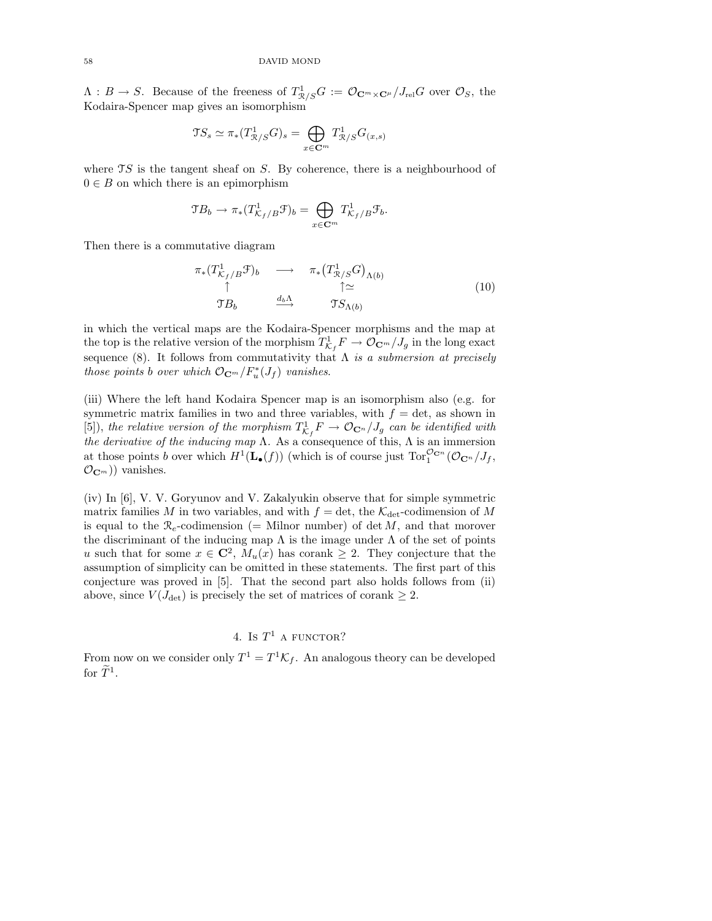$\Lambda: B \to S$ . Because of the freeness of  $T^1_{\mathcal{R}/S}G := \mathcal{O}_{\mathbf{C}^m \times \mathbf{C}^\mu}/J_{\text{rel}}G$  over  $\mathcal{O}_S$ , the Kodaira-Spencer map gives an isomorphism

$$
\mathfrak{T} S_s \simeq \pi_*(T^1_{\mathcal{R}/S}G)_s = \bigoplus_{x \in \mathbb{C}^m} T^1_{\mathcal{R}/S}G_{(x,s)}
$$

where  $\mathcal{T}S$  is the tangent sheaf on S. By coherence, there is a neighbourhood of  $0 \in B$  on which there is an epimorphism

$$
\mathfrak{T}B_b \to \pi_*(T^1_{\mathcal{K}_f/B}\mathfrak{T})_b = \bigoplus_{x \in \mathbf{C}^m} T^1_{\mathcal{K}_f/B}\mathfrak{T}_b.
$$

Then there is a commutative diagram

$$
\begin{array}{ccc}\n\pi_*(T^1_{\mathcal{K}_f/B}\mathcal{F})_b & \longrightarrow & \pi_*(T^1_{\mathcal{R}/S}G)_{\Lambda(b)} \\
\uparrow & & \uparrow \simeq \\
\mathcal{T}B_b & \xrightarrow{d_b\Lambda} & \mathcal{T}S_{\Lambda(b)}\n\end{array} \tag{10}
$$

in which the vertical maps are the Kodaira-Spencer morphisms and the map at the top is the relative version of the morphism  $T^1_{\mathcal{K}_f} F \to \mathcal{O}_{\mathbf{C}^m}/J_g$  in the long exact sequence (8). It follows from commutativity that  $\Lambda$  is a submersion at precisely those points b over which  $\mathcal{O}_{\mathbf{C}^m}/F_u^*(J_f)$  vanishes.

(iii) Where the left hand Kodaira Spencer map is an isomorphism also (e.g. for symmetric matrix families in two and three variables, with  $f = \det$ , as shown in [5]), the relative version of the morphism  $T^1_{\mathcal{K}_f} F \to \mathcal{O}_{\mathbf{C}^n}/J_g$  can be identified with the derivative of the inducing map  $\Lambda$ . As a consequence of this,  $\Lambda$  is an immersion at those points b over which  $H^1(\mathbf{L}_{\bullet}(f))$  (which is of course just  $\text{Tor}_1^{\mathcal{O}_{\mathbf{C}^n}}(\mathcal{O}_{\mathbf{C}^n}/J_f)$ ,  $(\mathcal{O}_{\mathbf{C}^m})$  vanishes.

(iv) In [6], V. V. Goryunov and V. Zakalyukin observe that for simple symmetric matrix families M in two variables, and with  $f = \det$ , the  $\mathcal{K}_{\det}$ -codimension of M is equal to the  $\mathcal{R}_e$ -codimension (= Milnor number) of det M, and that morover the discriminant of the inducing map  $\Lambda$  is the image under  $\Lambda$  of the set of points u such that for some  $x \in \mathbb{C}^2$ ,  $M_u(x)$  has corank  $\geq 2$ . They conjecture that the assumption of simplicity can be omitted in these statements. The first part of this conjecture was proved in [5]. That the second part also holds follows from (ii) above, since  $V(J_{\text{det}})$  is precisely the set of matrices of corank  $\geq 2$ .

# 4. Is  $T^1$  a functor?

From now on we consider only  $T^1 = T^1 \mathcal{K}_f$ . An analogous theory can be developed for  $\widetilde{T}^1$ .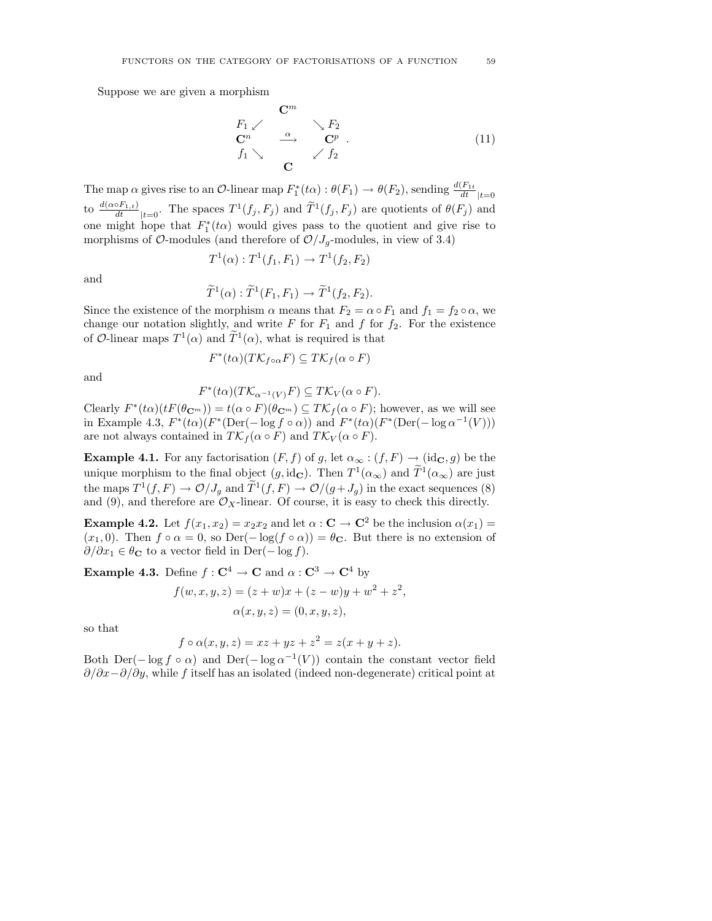Suppose we are given a morphism

$$
F_1 \swarrow \qquad \searrow F_2
$$
  
\n
$$
C^n \qquad \xrightarrow{\alpha} \qquad C^p .
$$
  
\n
$$
f_1 \searrow \qquad C
$$
  
\n
$$
C
$$
  
\n
$$
(11)
$$

The map  $\alpha$  gives rise to an  $\mathcal{O}\text{-linear map } F_1^*(t\alpha) : \theta(F_1) \to \theta(F_2)$ , sending  $\frac{d(F_{1t})}{dt}|_{t=0}$ to  $\frac{d(\alpha \circ F_{1,t})}{dt}_{|t=0}$ . The spaces  $T^1(f_j, F_j)$  and  $\widetilde{T}^1(f_j, F_j)$  are quotients of  $\theta(F_j)$  and one might hope that  $F_1^*(t\alpha)$  would gives pass to the quotient and give rise to morphisms of  $\mathcal{O}\text{-modules}$  (and therefore of  $\mathcal{O}/J_q\text{-modules}$ , in view of 3.4)

$$
T^1(\alpha) : T^1(f_1, F_1) \to T^1(f_2, F_2)
$$

and

$$
\widetilde{T}^1(\alpha): \widetilde{T}^1(F_1, F_1) \to \widetilde{T}^1(f_2, F_2).
$$

Since the existence of the morphism  $\alpha$  means that  $F_2 = \alpha \circ F_1$  and  $f_1 = f_2 \circ \alpha$ , we change our notation slightly, and write  $F$  for  $F_1$  and  $f$  for  $f_2$ . For the existence of O-linear maps  $T^1(\alpha)$  and  $\widetilde{T}^1(\alpha)$ , what is required is that

$$
F^*(t\alpha)(T\mathcal{K}_{f\circ\alpha}F)\subseteq T\mathcal{K}_f(\alpha\circ F)
$$

and

$$
F^*(t\alpha)(T\mathcal{K}_{\alpha^{-1}(V)}F) \subseteq T\mathcal{K}_V(\alpha \circ F).
$$

Clearly  $F^*(t\alpha)(tF(\theta_{\mathbf{C}^m})) = t(\alpha \circ F)(\theta_{\mathbf{C}^m}) \subseteq T\mathcal{K}_f(\alpha \circ F)$ ; however, as we will see in Example 4.3,  $F^*(t\alpha)(F^*(Der(-\log f \circ \alpha))$  and  $F^*(t\alpha)(F^*(Der(-\log \alpha^{-1}(V)))$ are not always contained in  $T\mathcal{K}_f(\alpha \circ F)$  and  $T\mathcal{K}_V(\alpha \circ F)$ .

**Example 4.1.** For any factorisation  $(F, f)$  of g, let  $\alpha_{\infty} : (f, F) \to (\text{id}_{\mathbf{C}}, g)$  be the unique morphism to the final object  $(g, id_{\mathbf{C}})$ . Then  $T^1(\alpha_{\infty})$  and  $\widetilde{T}^1(\alpha_{\infty})$  are just the maps  $T^1(f, F) \to \mathcal{O}/J_g$  and  $\widetilde{T}^1(f, F) \to \mathcal{O}/(g + J_g)$  in the exact sequences (8) and (9), and therefore are  $\mathcal{O}_X$ -linear. Of course, it is easy to check this directly.

**Example 4.2.** Let  $f(x_1, x_2) = x_2x_2$  and let  $\alpha : \mathbf{C} \to \mathbf{C}^2$  be the inclusion  $\alpha(x_1) =$  $(x_1, 0)$ . Then  $f \circ \alpha = 0$ , so Der $(-\log(f \circ \alpha)) = \theta_{\mathbf{C}}$ . But there is no extension of  $\partial/\partial x_1 \in \theta_{\mathbf{C}}$  to a vector field in Der( $-\log f$ ).

**Example 4.3.** Define  $f: \mathbb{C}^4 \to \mathbb{C}$  and  $\alpha: \mathbb{C}^3 \to \mathbb{C}^4$  by

$$
f(w, x, y, z) = (z + w)x + (z - w)y + w2 + z2,
$$
  

$$
\alpha(x, y, z) = (0, x, y, z),
$$

so that

$$
f \circ \alpha(x, y, z) = xz + yz + z^2 = z(x + y + z).
$$

Both Der( $-\log f \circ \alpha$ ) and Der( $-\log \alpha^{-1}(V)$ ) contain the constant vector field  $\partial/\partial x-\partial/\partial y$ , while f itself has an isolated (indeed non-degenerate) critical point at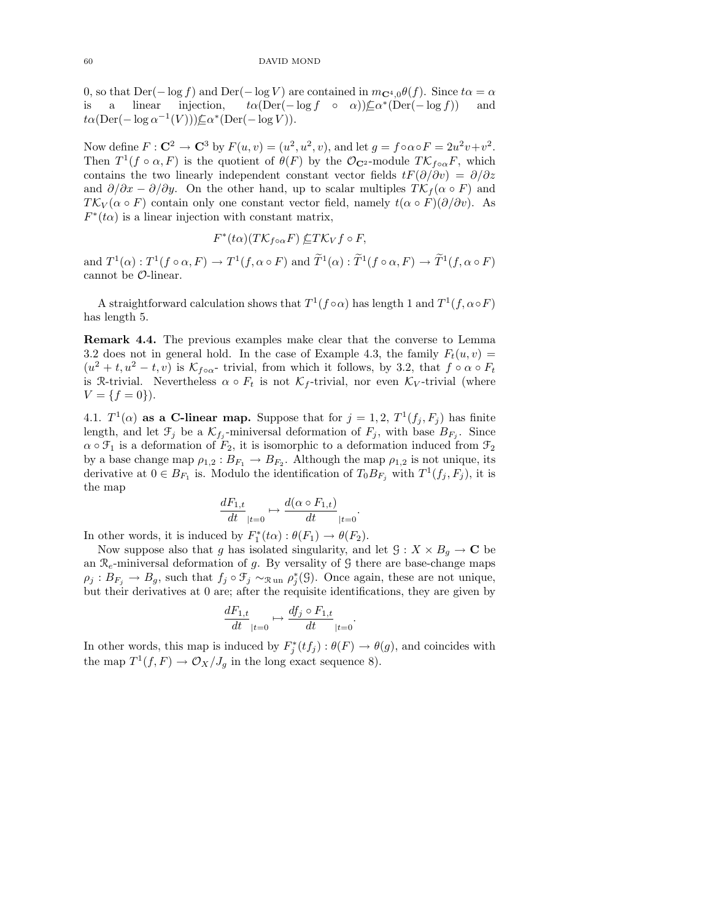0, so that  $Der(-\log f)$  and  $Der(-\log V)$  are contained in  $m_{\mathbf{C}^4,0}\theta(f)$ . Since  $t\alpha = \alpha$ is a linear injection,  $t\alpha(\text{Der}(-\log f \circ \alpha))\nsubseteq \alpha^*(\text{Der}(-\log f))$  and  $t\alpha(\text{Der}(-\log \alpha^{-1}(V)))\nsubseteq \alpha^*(\text{Der}(-\log V)).$ 

Now define  $F: \mathbb{C}^2 \to \mathbb{C}^3$  by  $F(u, v) = (u^2, u^2, v)$ , and let  $g = f \circ \alpha \circ F = 2u^2v + v^2$ . Then  $T^1(f \circ \alpha, F)$  is the quotient of  $\theta(F)$  by the  $\mathcal{O}_{\mathbf{C}^2}$ -module  $T\mathcal{K}_{f \circ \alpha}F$ , which contains the two linearly independent constant vector fields  $tF(\partial/\partial v) = \partial/\partial z$ and  $\partial/\partial x - \partial/\partial y$ . On the other hand, up to scalar multiples  $T\mathcal{K}_f(\alpha \circ F)$  and  $T\mathcal{K}_V(\alpha \circ F)$  contain only one constant vector field, namely  $t(\alpha \circ F)(\partial/\partial v)$ . As  $F^*(t\alpha)$  is a linear injection with constant matrix,

$$
F^*(t\alpha)(T\mathcal{K}_{f\circ\alpha}F)\nsubseteq T\mathcal{K}_Vf\circ F,
$$

and  $T^1(\alpha)$ :  $T^1(f \circ \alpha, F) \to T^1(f, \alpha \circ F)$  and  $\widetilde{T}^1(\alpha)$ :  $\widetilde{T}^1(f \circ \alpha, F) \to \widetilde{T}^1(f, \alpha \circ F)$ cannot be O-linear.

A straightforward calculation shows that  $T^1(f \circ \alpha)$  has length 1 and  $T^1(f, \alpha \circ F)$ has length 5.

Remark 4.4. The previous examples make clear that the converse to Lemma 3.2 does not in general hold. In the case of Example 4.3, the family  $F_t(u, v) =$  $(u^2 + t, u^2 - t, v)$  is  $\mathcal{K}_{f \circ \alpha}$ - trivial, from which it follows, by 3.2, that  $f \circ \alpha \circ F_t$ is R-trivial. Nevertheless  $\alpha \circ F_t$  is not  $\mathcal{K}_f$ -trivial, nor even  $\mathcal{K}_V$ -trivial (where  $V = \{f = 0\}.$ 

4.1.  $T^1(\alpha)$  as a C-linear map. Suppose that for  $j = 1, 2, T^1(f_j, F_j)$  has finite length, and let  $\mathcal{F}_j$  be a  $\mathcal{K}_{f_j}$ -miniversal deformation of  $F_j$ , with base  $B_{F_j}$ . Since  $\alpha \circ \mathfrak{F}_1$  is a deformation of  $F_2$ , it is isomorphic to a deformation induced from  $\mathfrak{F}_2$ by a base change map  $\rho_{1,2}: B_{F_1} \to B_{F_2}$ . Although the map  $\rho_{1,2}$  is not unique, its derivative at  $0 \in B_{F_1}$  is. Modulo the identification of  $T_0 B_{F_j}$  with  $T^1(f_j, F_j)$ , it is the map

$$
\frac{dF_{1,t}}{dt}_{|t=0} \mapsto \frac{d(\alpha \circ F_{1,t})}{dt}_{|t=0}
$$

.

In other words, it is induced by  $F_1^*(t\alpha) : \theta(F_1) \to \theta(F_2)$ .

Now suppose also that g has isolated singularity, and let  $\mathcal{G}: X \times B_q \to \mathbb{C}$  be an  $\mathcal{R}_e$ -miniversal deformation of g. By versality of G there are base-change maps  $\rho_j: B_{F_j} \to B_g$ , such that  $f_j \circ \mathfrak{F}_j \sim_{\mathfrak{Run}} \rho_j^*(\mathfrak{G})$ . Once again, these are not unique, but their derivatives at 0 are; after the requisite identifications, they are given by

$$
\frac{dF_{1,t}}{dt}_{|t=0}\mapsto \frac{df_j\circ F_{1,t}}{dt}_{|t=0}.
$$

In other words, this map is induced by  $F_j^*(tf_j):\theta(F) \to \theta(g)$ , and coincides with the map  $T^1(f, F) \to \mathcal{O}_X/J_g$  in the long exact sequence 8).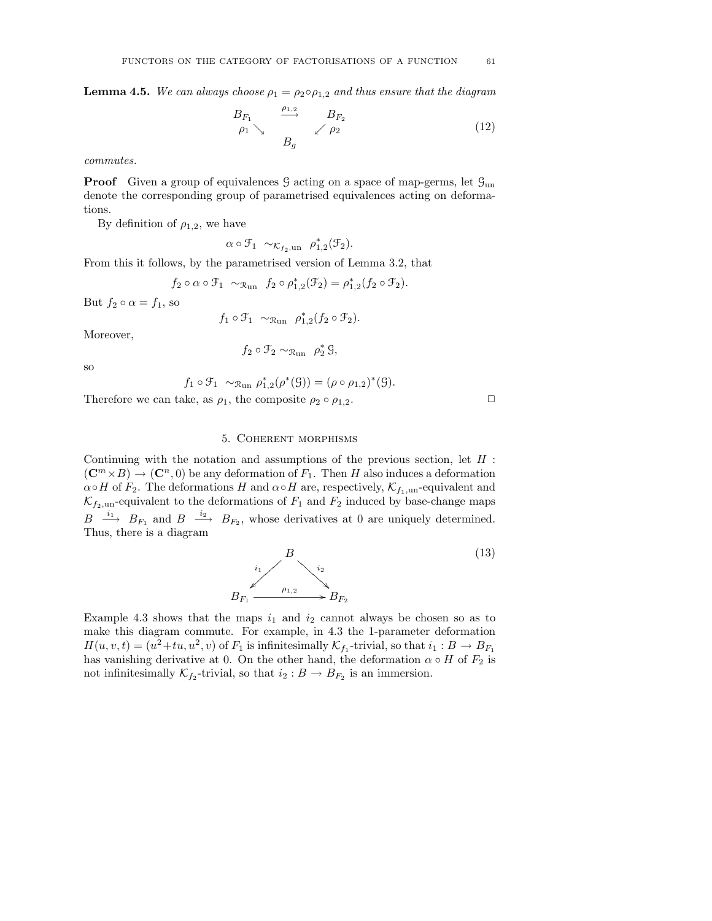**Lemma 4.5.** We can always choose  $\rho_1 = \rho_2 \circ \rho_{1,2}$  and thus ensure that the diagram

$$
\begin{array}{ccc}\nB_{F_1} & \xrightarrow{\rho_{1,2}} & B_{F_2} \\
\rho_1 \searrow & & \nearrow \rho_2\n\end{array} \tag{12}
$$

commutes.

**Proof** Given a group of equivalences  $\mathcal{G}$  acting on a space of map-germs, let  $\mathcal{G}_{un}$ denote the corresponding group of parametrised equivalences acting on deformations.

By definition of  $\rho_{1,2}$ , we have

 $\alpha \circ \mathfrak{F}_1 \sim_{\mathcal{K}_{f_2,\text{un}}} \rho_{1,2}^*(\mathfrak{F}_2).$ 

From this it follows, by the parametrised version of Lemma 3.2, that

$$
f_2 \circ \alpha \circ \mathfrak{F}_1 \sim_{\mathcal{R}_{un}} f_2 \circ \rho_{1,2}^*(\mathfrak{F}_2) = \rho_{1,2}^*(f_2 \circ \mathfrak{F}_2).
$$

But  $f_2 \circ \alpha = f_1$ , so

$$
f_1 \circ \mathcal{F}_1 \sim_{\mathcal{R}_{un}} \rho_{1,2}^*(f_2 \circ \mathcal{F}_2).
$$

Moreover,

$$
f_2 \circ \mathcal{F}_2 \sim_{\mathcal{R}_{un}} \rho_2^* \mathcal{G},
$$

so

$$
f_1 \circ \mathcal{F}_1 \sim_{\mathcal{R}_{un}} \rho_{1,2}^*(\rho^*(\mathcal{G})) = (\rho \circ \rho_{1,2})^*(\mathcal{G}).
$$

Therefore we can take, as  $\rho_1$ , the composite  $\rho_2 \circ \rho_{1,2}$ .

#### 5. Coherent morphisms

Continuing with the notation and assumptions of the previous section, let  $H$ :  $(\mathbb{C}^m \times B) \to (\mathbb{C}^n, 0)$  be any deformation of  $F_1$ . Then H also induces a deformation  $\alpha \circ H$  of  $F_2$ . The deformations H and  $\alpha \circ H$  are, respectively,  $\mathcal{K}_{f_1,\text{un}}$ -equivalent and  $\mathcal{K}_{f_2,\text{un}}$ -equivalent to the deformations of  $F_1$  and  $F_2$  induced by base-change maps  $B \stackrel{i_1}{\longrightarrow} B_{F_1}$  and  $B \stackrel{i_2}{\longrightarrow} B_{F_2}$ , whose derivatives at 0 are uniquely determined. Thus, there is a diagram

$$
B
$$
\n
$$
B_{F_1} \xrightarrow{\rho_{1,2}} B_{F_2}
$$
\n
$$
(13)
$$

Example 4.3 shows that the maps  $i_1$  and  $i_2$  cannot always be chosen so as to make this diagram commute. For example, in 4.3 the 1-parameter deformation  $H(u, v, t) = (u^2 + tu, u^2, v)$  of  $F_1$  is infinitesimally  $\mathcal{K}_{f_1}$ -trivial, so that  $i_1 : B \to B_{F_1}$ has vanishing derivative at 0. On the other hand, the deformation  $\alpha \circ H$  of  $F_2$  is not infinitesimally  $\mathcal{K}_{f_2}$ -trivial, so that  $i_2 : B \to B_{F_2}$  is an immersion.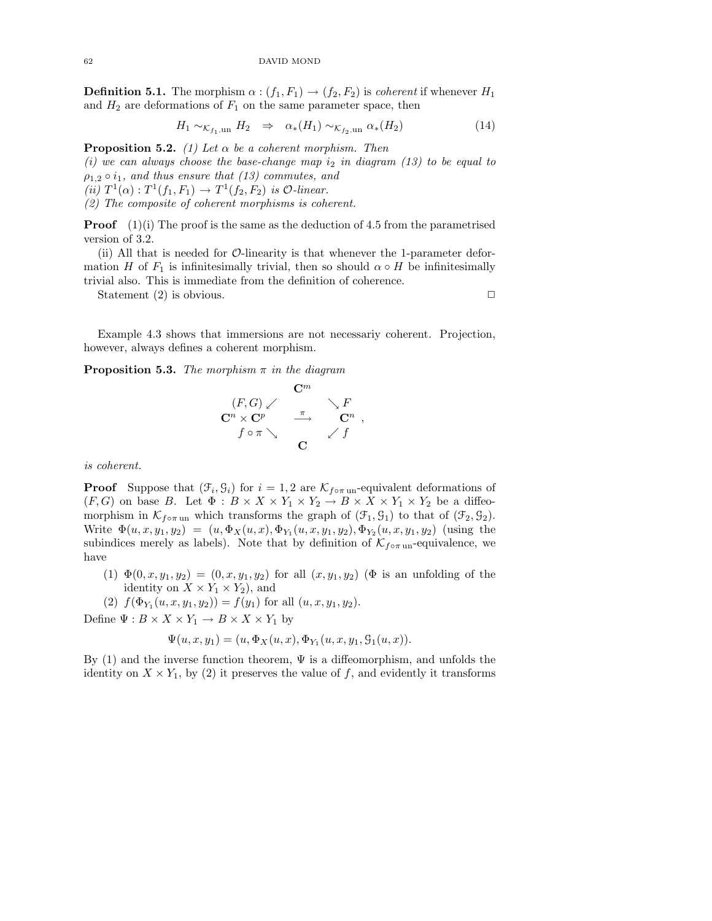**Definition 5.1.** The morphism  $\alpha$  :  $(f_1, F_1) \rightarrow (f_2, F_2)$  is *coherent* if whenever  $H_1$ and  $H_2$  are deformations of  $F_1$  on the same parameter space, then

$$
H_1 \sim_{\mathcal{K}_{f_1,\text{un}}} H_2 \Rightarrow \alpha_*(H_1) \sim_{\mathcal{K}_{f_2,\text{un}}} \alpha_*(H_2) \tag{14}
$$

**Proposition 5.2.** (1) Let  $\alpha$  be a coherent morphism. Then

(i) we can always choose the base-change map  $i_2$  in diagram (13) to be equal to  $\rho_{1,2} \circ i_1$ , and thus ensure that (13) commutes, and (ii)  $T^1(\alpha) : T^1(f_1, F_1) \rightarrow T^1(f_2, F_2)$  is  $\mathcal{O}\text{-}linear$ .

(2) The composite of coherent morphisms is coherent.

**Proof**  $(1)(i)$  The proof is the same as the deduction of 4.5 from the parametrised version of 3.2.

(ii) All that is needed for O-linearity is that whenever the 1-parameter deformation H of  $F_1$  is infinitesimally trivial, then so should  $\alpha \circ H$  be infinitesimally trivial also. This is immediate from the definition of coherence.

Statement  $(2)$  is obvious.

Example 4.3 shows that immersions are not necessariy coherent. Projection, however, always defines a coherent morphism.

**Proposition 5.3.** The morphism  $\pi$  in the diagram

$$
\begin{array}{ccc}\n(F,G) \swarrow & & \searrow F \\
\mathbf{C}^n \times \mathbf{C}^p & \xrightarrow{\pi} & \mathbf{C}^n ,\\
f \circ \pi \searrow & & \swarrow f\n\end{array}
$$

is coherent.

**Proof** Suppose that  $(\mathcal{F}_i, \mathcal{G}_i)$  for  $i = 1, 2$  are  $\mathcal{K}_{f \circ \pi}$  un-equivalent deformations of  $(F, G)$  on base B. Let  $\Phi : B \times X \times Y_1 \times Y_2 \to B \times X \times Y_1 \times Y_2$  be a diffeomorphism in  $\mathcal{K}_{f \circ \pi$  un which transforms the graph of  $(\mathcal{F}_1, \mathcal{G}_1)$  to that of  $(\mathcal{F}_2, \mathcal{G}_2)$ . Write  $\Phi(u, x, y_1, y_2) = (u, \Phi_X(u, x), \Phi_{Y_1}(u, x, y_1, y_2), \Phi_{Y_2}(u, x, y_1, y_2))$  (using the subindices merely as labels). Note that by definition of  $\mathcal{K}_{f \circ \pi$  un-equivalence, we have

- (1)  $\Phi(0, x, y_1, y_2) = (0, x, y_1, y_2)$  for all  $(x, y_1, y_2)$  ( $\Phi$  is an unfolding of the identity on  $X \times Y_1 \times Y_2$ , and
- (2)  $f(\Phi_{Y_1}(u, x, y_1, y_2)) = f(y_1)$  for all  $(u, x, y_1, y_2)$ .

Define  $\Psi : B \times X \times Y_1 \to B \times X \times Y_1$  by

$$
\Psi(u, x, y_1) = (u, \Phi_X(u, x), \Phi_{Y_1}(u, x, y_1, \mathcal{G}_1(u, x)).
$$

By (1) and the inverse function theorem,  $\Psi$  is a diffeomorphism, and unfolds the identity on  $X \times Y_1$ , by (2) it preserves the value of f, and evidently it transforms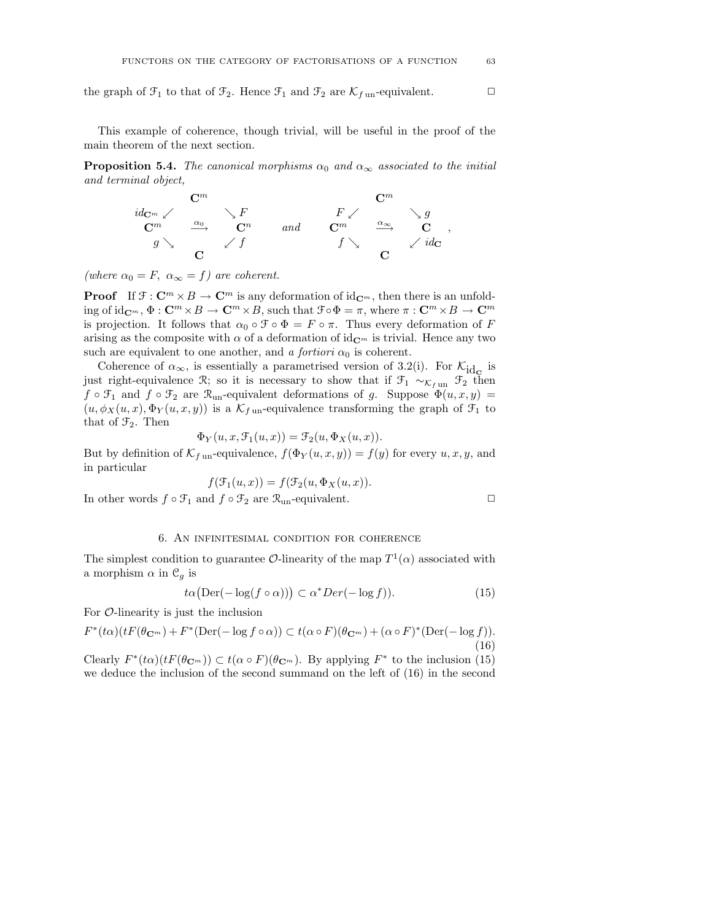the graph of  $\mathcal{F}_1$  to that of  $\mathcal{F}_2$ . Hence  $\mathcal{F}_1$  and  $\mathcal{F}_2$  are  $\mathcal{K}_{f \text{un}}$ -equivalent.

This example of coherence, though trivial, will be useful in the proof of the main theorem of the next section.

**Proposition 5.4.** The canonical morphisms  $\alpha_0$  and  $\alpha_\infty$  associated to the initial and terminal object,

$$
\begin{array}{ccccccccc}&&&\mathbf{C}^m&&&&\mathbf{C}^m\\ id_{\mathbf{C}^m}\swarrow&&\searrow F&&&F\swarrow&&\searrow g\\ \mathbf{C}^m&&\xrightarrow{\alpha_0}&\mathbf{C}^n&&\text{and}&\mathbf{C}^m&&\xrightarrow{\alpha_\infty}&\searrow g\\ g\searrow&&\swarrow f&&f\searrow&&\swarrow id_\mathbf{C}&&,\\ \mathbf{C}&&&&&\mathbf{C}&&\\ \end{array}
$$

(where  $\alpha_0 = F$ ,  $\alpha_{\infty} = f$ ) are coherent.

**Proof** If  $\mathcal{F}: \mathbb{C}^m \times B \to \mathbb{C}^m$  is any deformation of  $id_{\mathbb{C}^m}$ , then there is an unfolding of  $id_{\mathbf{C}^m}$ ,  $\Phi : \mathbf{C}^m \times B \to \mathbf{C}^m \times B$ , such that  $\mathcal{F} \circ \Phi = \pi$ , where  $\pi : \mathbf{C}^m \times B \to \mathbf{C}^m$ is projection. It follows that  $\alpha_0 \circ \mathcal{F} \circ \Phi = F \circ \pi$ . Thus every deformation of F arising as the composite with  $\alpha$  of a deformation of id<sub>C</sub><sub>m</sub> is trivial. Hence any two such are equivalent to one another, and a fortiori  $\alpha_0$  is coherent.

Coherence of  $\alpha_{\infty}$ , is essentially a parametrised version of 3.2(i). For  $\mathcal{K}_{\text{id}_{\mathbf{C}}}$  is just right-equivalence R; so it is necessary to show that if  $\mathcal{F}_1 \sim_{\mathcal{K}_{fun}} \mathcal{F}_2$  then  $f \circ \mathcal{F}_1$  and  $f \circ \mathcal{F}_2$  are  $\mathcal{R}_{un}$ -equivalent deformations of g. Suppose  $\Phi(u, x, y) =$  $(u, \phi_X(u, x), \Phi_Y(u, x, y))$  is a  $\mathcal{K}_{f \text{un}}$ -equivalence transforming the graph of  $\mathcal{F}_1$  to that of  $\mathfrak{F}_2$ . Then

$$
\Phi_Y(u, x, \mathcal{F}_1(u, x)) = \mathcal{F}_2(u, \Phi_X(u, x)).
$$

But by definition of  $\mathcal{K}_{f \text{ un}}$ -equivalence,  $f(\Phi_Y(u, x, y)) = f(y)$  for every  $u, x, y$ , and in particular

$$
f(\mathcal{F}_1(u,x)) = f(\mathcal{F}_2(u,\Phi_X(u,x)).
$$

In other words  $f \circ \mathcal{F}_1$  and  $f \circ \mathcal{F}_2$  are  $\mathcal{R}_{un}$ -equivalent.  $\Box$ 

## 6. An infinitesimal condition for coherence

The simplest condition to guarantee  $\mathcal{O}$ -linearity of the map  $T^1(\alpha)$  associated with a morphism  $\alpha$  in  $\mathcal{C}_q$  is

$$
\alpha \big( \text{Der}(-\log(f \circ \alpha)) \big) \subset \alpha^* \text{Der}(-\log f)).\tag{15}
$$

For  $\mathcal{O}$ -linearity is just the inclusion

tα

$$
F^*(t\alpha)(tF(\theta_{\mathbf{C}^m}) + F^*(\text{Der}(-\log f \circ \alpha)) \subset t(\alpha \circ F)(\theta_{\mathbf{C}^m}) + (\alpha \circ F)^*(\text{Der}(-\log f)).
$$
\n(16)

Clearly  $F^*(t\alpha)(tF(\theta_{\mathbf{C}^m})) \subset t(\alpha \circ F)(\theta_{\mathbf{C}^m})$ . By applying  $F^*$  to the inclusion (15) we deduce the inclusion of the second summand on the left of (16) in the second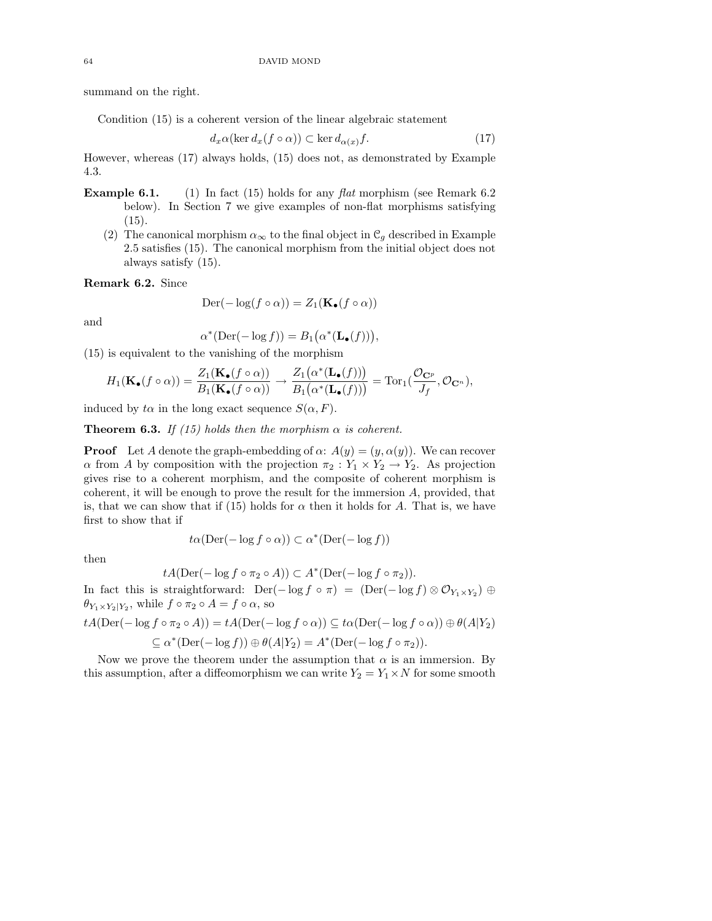summand on the right.

Condition (15) is a coherent version of the linear algebraic statement

$$
d_x\alpha(\ker d_x(f\circ\alpha)) \subset \ker d_{\alpha(x)}f.
$$
 (17)

However, whereas (17) always holds, (15) does not, as demonstrated by Example 4.3.

- **Example 6.1.** (1) In fact (15) holds for any flat morphism (see Remark 6.2) below). In Section 7 we give examples of non-flat morphisms satisfying  $(15).$ 
	- (2) The canonical morphism  $\alpha_{\infty}$  to the final object in  $\mathcal{C}_g$  described in Example 2.5 satisfies (15). The canonical morphism from the initial object does not always satisfy (15).

Remark 6.2. Since

$$
\text{Der}(-\log(f \circ \alpha)) = Z_1(\mathbf{K}_{\bullet}(f \circ \alpha))
$$

and

$$
\alpha^*(\mathrm{Der}(-\log f)) = B_1(\alpha^*(\mathbf{L}_{\bullet}(f))),
$$

(15) is equivalent to the vanishing of the morphism

$$
H_1(\mathbf{K}_{\bullet}(f\circ\alpha)) = \frac{Z_1(\mathbf{K}_{\bullet}(f\circ\alpha))}{B_1(\mathbf{K}_{\bullet}(f\circ\alpha))} \to \frac{Z_1(\alpha^*(\mathbf{L}_{\bullet}(f)))}{B_1(\alpha^*(\mathbf{L}_{\bullet}(f)))} = \mathrm{Tor}_1(\frac{\mathcal{O}_{\mathbf{C}^p}}{J_f}, \mathcal{O}_{\mathbf{C}^n}),
$$

induced by  $t\alpha$  in the long exact sequence  $S(\alpha, F)$ .

**Theorem 6.3.** If (15) holds then the morphism  $\alpha$  is coherent.

**Proof** Let A denote the graph-embedding of  $\alpha$ :  $A(y) = (y, \alpha(y))$ . We can recover  $\alpha$  from A by composition with the projection  $\pi_2 : Y_1 \times Y_2 \to Y_2$ . As projection gives rise to a coherent morphism, and the composite of coherent morphism is coherent, it will be enough to prove the result for the immersion A, provided, that is, that we can show that if (15) holds for  $\alpha$  then it holds for A. That is, we have first to show that if

$$
t\alpha(\text{Der}(-\log f \circ \alpha)) \subset \alpha^*(\text{Der}(-\log f))
$$

then

$$
tA(\mathrm{Der}(-\log f \circ \pi_2 \circ A)) \subset A^*(\mathrm{Der}(-\log f \circ \pi_2)).
$$

In fact this is straightforward:  $\text{Der}(-\log f \circ \pi) = (\text{Der}(-\log f) \otimes \mathcal{O}_{Y_1 \times Y_2}) \oplus$  $\theta_{Y_1 \times Y_2 \mid Y_2}$ , while  $f \circ \pi_2 \circ A = f \circ \alpha$ , so

$$
tA(\mathrm{Der}(-\log f \circ \pi_2 \circ A)) = tA(\mathrm{Der}(-\log f \circ \alpha)) \subseteq t\alpha(\mathrm{Der}(-\log f \circ \alpha)) \oplus \theta(A|Y_2)
$$

$$
\subseteq \alpha^*(\mathrm{Der}(-\log f)) \oplus \theta(A|Y_2) = A^*(\mathrm{Der}(-\log f \circ \pi_2)).
$$

Now we prove the theorem under the assumption that  $\alpha$  is an immersion. By this assumption, after a diffeomorphism we can write  $Y_2 = Y_1 \times N$  for some smooth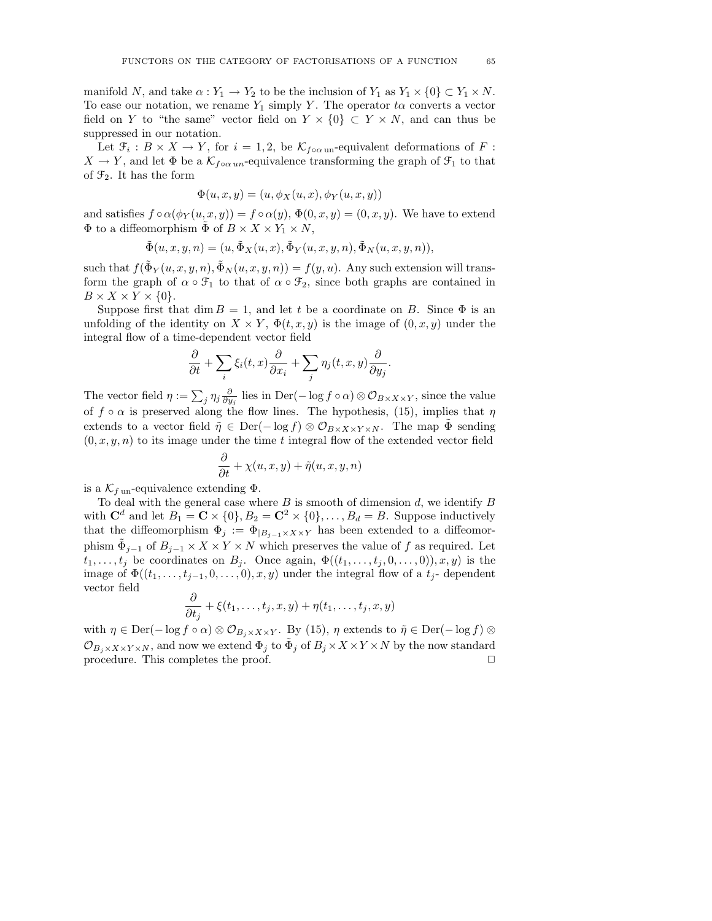manifold N, and take  $\alpha : Y_1 \to Y_2$  to be the inclusion of  $Y_1$  as  $Y_1 \times \{0\} \subset Y_1 \times N$ . To ease our notation, we rename  $Y_1$  simply Y. The operator t $\alpha$  converts a vector field on Y to "the same" vector field on  $Y \times \{0\} \subset Y \times N$ , and can thus be suppressed in our notation.

Let  $\mathfrak{F}_i : B \times X \to Y$ , for  $i = 1, 2$ , be  $\mathcal{K}_{f \circ \alpha \text{ un}}$ -equivalent deformations of F:  $X \to Y$ , and let  $\Phi$  be a  $\mathcal{K}_{f \circ \alpha un}$ -equivalence transforming the graph of  $\mathcal{F}_1$  to that of  $\mathfrak{F}_2$ . It has the form

$$
\Phi(u, x, y) = (u, \phi_X(u, x), \phi_Y(u, x, y))
$$

and satisfies  $f \circ \alpha(\phi_Y(u, x, y)) = f \circ \alpha(y), \Phi(0, x, y) = (0, x, y)$ . We have to extend  $\Phi$  to a diffeomorphism  $\Phi$  of  $B \times X \times Y_1 \times N$ ,

$$
\tilde{\Phi}(u,x,y,n)=(u,\tilde{\Phi}_X(u,x),\tilde{\Phi}_Y(u,x,y,n),\tilde{\Phi}_N(u,x,y,n)),
$$

such that  $f(\tilde{\Phi}_Y(u, x, y, n), \tilde{\Phi}_N(u, x, y, n)) = f(y, u)$ . Any such extension will transform the graph of  $\alpha \circ \mathfrak{F}_1$  to that of  $\alpha \circ \mathfrak{F}_2$ , since both graphs are contained in  $B \times X \times Y \times \{0\}.$ 

Suppose first that dim  $B = 1$ , and let t be a coordinate on B. Since  $\Phi$  is an unfolding of the identity on  $X \times Y$ ,  $\Phi(t, x, y)$  is the image of  $(0, x, y)$  under the integral flow of a time-dependent vector field

$$
\frac{\partial}{\partial t} + \sum_{i} \xi_i(t, x) \frac{\partial}{\partial x_i} + \sum_{j} \eta_j(t, x, y) \frac{\partial}{\partial y_j}.
$$

The vector field  $\eta := \sum_j \eta_j \frac{\partial}{\partial y_j}$  lies in Der( $-\log f \circ \alpha$ ) ⊗  $\mathcal{O}_{B \times X \times Y}$ , since the value of  $f \circ \alpha$  is preserved along the flow lines. The hypothesis, (15), implies that  $\eta$ extends to a vector field  $\tilde{\eta} \in \text{Der}(-\log f) \otimes \mathcal{O}_{B \times X \times Y \times N}$ . The map  $\Phi$  sending  $(0, x, y, n)$  to its image under the time t integral flow of the extended vector field

$$
\frac{\partial}{\partial t} + \chi(u, x, y) + \tilde{\eta}(u, x, y, n)
$$

is a  $\mathcal{K}_{f \text{un}}$ -equivalence extending  $\Phi$ .

To deal with the general case where  $B$  is smooth of dimension  $d$ , we identify  $B$ with  $\mathbf{C}^d$  and let  $B_1 = \mathbf{C} \times \{0\}, B_2 = \mathbf{C}^2 \times \{0\}, \ldots, B_d = B$ . Suppose inductively that the diffeomorphism  $\Phi_j := \Phi_{|B_{j-1}\times X\times Y}$  has been extended to a diffeomorphism  $\tilde{\Phi}_{j-1}$  of  $B_{j-1} \times X \times Y \times N$  which preserves the value of f as required. Let  $t_1, \ldots, t_j$  be coordinates on  $B_j$ . Once again,  $\Phi((t_1, \ldots, t_j, 0, \ldots, 0)), x, y)$  is the image of  $\Phi((t_1,\ldots,t_{j-1},0,\ldots,0),x,y)$  under the integral flow of a  $t_j$ -dependent vector field

$$
\frac{\partial}{\partial t_j} + \xi(t_1,\ldots,t_j,x,y) + \eta(t_1,\ldots,t_j,x,y)
$$

with  $\eta \in \text{Der}(-\log f \circ \alpha) \otimes \mathcal{O}_{B_i \times X \times Y}$ . By (15),  $\eta$  extends to  $\tilde{\eta} \in \text{Der}(-\log f) \otimes$  $\mathcal{O}_{B_j\times X\times Y\times N},$  and now we extend  $\Phi_j$  to  $\tilde{\Phi}_j$  of  $B_j\times X\times Y\times N$  by the now standard procedure. This completes the proof.  $\Box$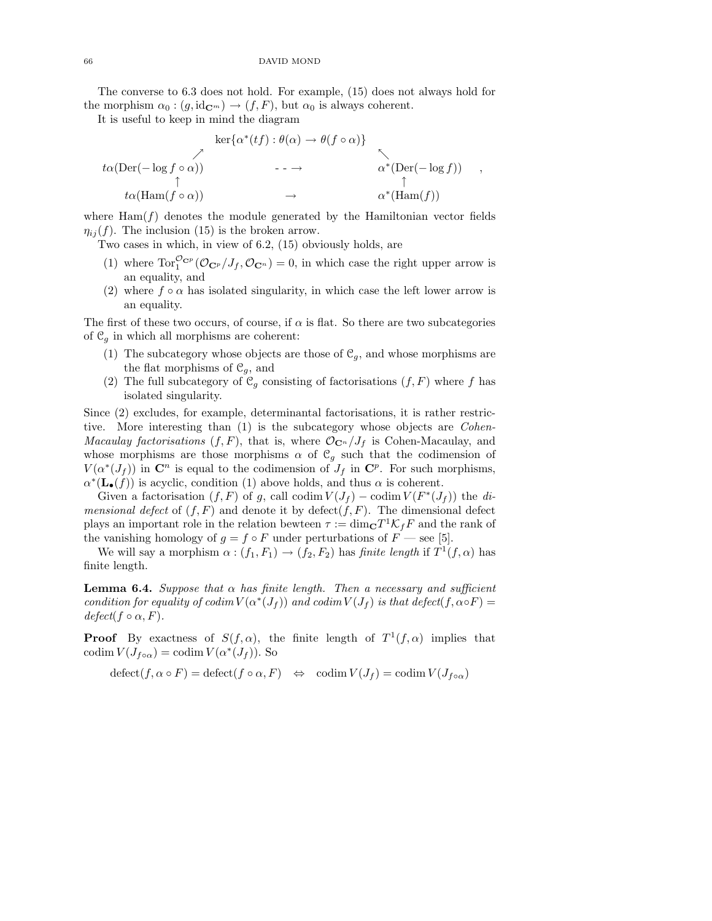#### 66 DAVID MOND

The converse to 6.3 does not hold. For example, (15) does not always hold for the morphism  $\alpha_0 : (g, \text{id}_{\mathbb{C}^m}) \to (f, F)$ , but  $\alpha_0$  is always coherent.

It is useful to keep in mind the diagram

$$
\ker{\alpha^*(tf) : \theta(\alpha) \to \theta(f \circ \alpha)}
$$
\n
$$
\downarrow \alpha(\text{Der}(-\log f \circ \alpha))
$$
\n
$$
\uparrow \alpha(\text{Ham}(f \circ \alpha))
$$
\n
$$
\rightarrow \alpha^*(\text{Ham}(f))
$$
\n
$$
\rightarrow \alpha^*(\text{Ham}(f))
$$

,

where  $\text{Ham}(f)$  denotes the module generated by the Hamiltonian vector fields  $\eta_{ij}(f)$ . The inclusion (15) is the broken arrow.

Two cases in which, in view of 6.2, (15) obviously holds, are

- (1) where  $\text{Tor}_1^{\mathcal{O}_{\mathbf{C}^p}}(\mathcal{O}_{\mathbf{C}^p}/J_f, \mathcal{O}_{\mathbf{C}^n})=0$ , in which case the right upper arrow is an equality, and
- (2) where  $f \circ \alpha$  has isolated singularity, in which case the left lower arrow is an equality.

The first of these two occurs, of course, if  $\alpha$  is flat. So there are two subcategories of  $\mathcal{C}_q$  in which all morphisms are coherent:

- (1) The subcategory whose objects are those of  $\mathcal{C}_g$ , and whose morphisms are the flat morphisms of  $\mathcal{C}_g$ , and
- (2) The full subcategory of  $\mathcal{C}_g$  consisting of factorisations  $(f, F)$  where f has isolated singularity.

Since (2) excludes, for example, determinantal factorisations, it is rather restrictive. More interesting than (1) is the subcategory whose objects are *Cohen-Macaulay factorisations*  $(f, F)$ , that is, where  $\mathcal{O}_{\mathbb{C}^n}/J_f$  is Cohen-Macaulay, and whose morphisms are those morphisms  $\alpha$  of  $\mathcal{C}_g$  such that the codimension of  $V(\alpha^*(J_f))$  in  $\mathbb{C}^n$  is equal to the codimension of  $J_f$  in  $\mathbb{C}^p$ . For such morphisms,  $\alpha^*(\mathbf{L}_{\bullet}(f))$  is acyclic, condition (1) above holds, and thus  $\alpha$  is coherent.

Given a factorisation  $(f, F)$  of g, call codim  $V(J_f) - \text{codim } V(F^*(J_f))$  the di*mensional defect* of  $(f, F)$  and denote it by defect $(f, F)$ . The dimensional defect plays an important role in the relation bewteen  $\tau := \dim_{\mathbf{C}} T^1 \mathcal{K}_f F$  and the rank of the vanishing homology of  $g = f \circ F$  under perturbations of  $F$  — see [5].

We will say a morphism  $\alpha: (f_1, F_1) \to (f_2, F_2)$  has finite length if  $T^1(f, \alpha)$  has finite length.

**Lemma 6.4.** Suppose that  $\alpha$  has finite length. Then a necessary and sufficient condition for equality of codim  $V(\alpha^*(J_f))$  and codim  $V(J_f)$  is that defect $(f, \alpha \circ F)$  =  $defect(f\circ\alpha, F).$ 

**Proof** By exactness of  $S(f, \alpha)$ , the finite length of  $T^1(f, \alpha)$  implies that codim  $V(J_{f \circ \alpha}) = \text{codim } V(\alpha^*(J_f))$ . So

 $\det(\mathcal{f}, \alpha \circ F) = \det(\mathcal{f} \circ \alpha, F) \Leftrightarrow \operatorname{codim} V(J_f) = \operatorname{codim} V(J_{f \circ \alpha})$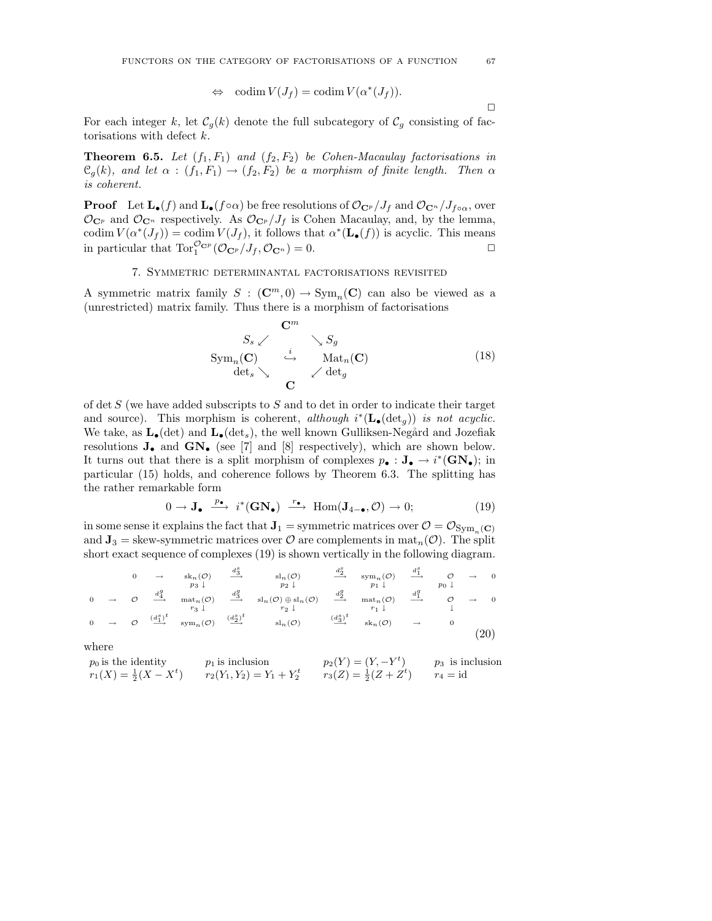$$
\Leftrightarrow \text{ codim } V(J_f) = \text{codim } V(\alpha^*(J_f)).
$$

For each integer k, let  $\mathcal{C}_g(k)$  denote the full subcategory of  $\mathcal{C}_g$  consisting of factorisations with defect k.

**Theorem 6.5.** Let  $(f_1, F_1)$  and  $(f_2, F_2)$  be Cohen-Macaulay factorisations in  $\mathfrak{C}_g(k)$ , and let  $\alpha : (f_1, F_1) \to (f_2, F_2)$  be a morphism of finite length. Then  $\alpha$ is coherent.

**Proof** Let  $\mathbf{L}_{\bullet}(f)$  and  $\mathbf{L}_{\bullet}(f \circ \alpha)$  be free resolutions of  $\mathcal{O}_{\mathbf{C}^p}/J_f$  and  $\mathcal{O}_{\mathbf{C}^n}/J_{f \circ \alpha}$ , over  $\mathcal{O}_{\mathbf{C}^p}$  and  $\mathcal{O}_{\mathbf{C}^n}$  respectively. As  $\mathcal{O}_{\mathbf{C}^p}/J_f$  is Cohen Macaulay, and, by the lemma, codim  $V(\alpha^*(J_f)) = \text{codim } V(J_f)$ , it follows that  $\alpha^*(\mathbf{L}_{\bullet}(f))$  is acyclic. This means in particular that  $\operatorname{Tor}_1^{{\mathcal{O}}_{\mathbf{C}^p}}({\mathcal{O}}_{\mathbf{C}^p}/J_f, {\mathcal{O}}_{\mathbf{C}^n})=0.$ 

# 7. Symmetric determinantal factorisations revisited

A symmetric matrix family  $S : (\mathbb{C}^m, 0) \to \text{Sym}_n(\mathbb{C})$  can also be viewed as a (unrestricted) matrix family. Thus there is a morphism of factorisations

$$
S_s \swarrow \qquad \searrow S_g
$$
  
\n
$$
Sym_n(\mathbf{C}) \qquad \stackrel{i}{\hookrightarrow} \qquad Mat_n(\mathbf{C})
$$
  
\n
$$
det_s \searrow \qquad \qquad \swarrow det_g
$$
\n(18)

of det  $S$  (we have added subscripts to  $S$  and to det in order to indicate their target and source). This morphism is coherent, although  $i^*(\mathbf{L}_{\bullet}(\text{det}_g))$  is not acyclic. We take, as  $\mathbf{L}_{\bullet}(\text{det})$  and  $\mathbf{L}_{\bullet}(\text{det}_s)$ , the well known Gulliksen-Negård and Jozefiak resolutions  $J_{\bullet}$  and  $GN_{\bullet}$  (see [7] and [8] respectively), which are shown below. It turns out that there is a split morphism of complexes  $p_{\bullet}: \mathbf{J}_{\bullet} \to i^*(\mathbf{GN}_{\bullet})$ ; in particular (15) holds, and coherence follows by Theorem 6.3. The splitting has the rather remarkable form

$$
0 \to \mathbf{J}_{\bullet} \xrightarrow{p_{\bullet}} i^*(\mathbf{GN}_{\bullet}) \xrightarrow{r_{\bullet}} \text{Hom}(\mathbf{J}_{4-\bullet}, \mathcal{O}) \to 0; \tag{19}
$$

in some sense it explains the fact that  $J_1$  = symmetric matrices over  $\mathcal{O} = \mathcal{O}_{Sym_{-}(\mathbf{C})}$ and  $J_3$  = skew-symmetric matrices over  $\mathcal O$  are complements in mat<sub>n</sub>( $\mathcal O$ ). The split short exact sequence of complexes (19) is shown vertically in the following diagram.

$$
\begin{array}{ccccccccc}\n & 0 & \rightarrow & sk_n(\mathcal{O}) & \xrightarrow{d_3^s} & sl_n(\mathcal{O}) & \xrightarrow{d_2^s} & sym_n(\mathcal{O}) & \xrightarrow{d_1^s} & \mathcal{O} & \rightarrow & 0 \\
 & p_3 \downarrow & & p_2 \downarrow & & p_1 \downarrow & & p_0 \downarrow \\
0 & \rightarrow & \mathcal{O} & \xrightarrow{d_4^q} & \text{mat}_n(\mathcal{O}) & \xrightarrow{d_3^q} & sl_n(\mathcal{O}) \oplus sl_n(\mathcal{O}) & \xrightarrow{d_2^q} & \text{mat}_n(\mathcal{O}) & \xrightarrow{d_1^q} & \mathcal{O} & \rightarrow & 0 \\
0 & \rightarrow & \mathcal{O} & \xrightarrow{d_1^s} & \text{sym}_n(\mathcal{O}) & \xrightarrow{d_2^s} & sl_n(\mathcal{O}) & \xrightarrow{d_2^s} & \text{mat}_n(\mathcal{O}) & \xrightarrow{d_1^q} & \downarrow & \downarrow \\
0 & \rightarrow & \mathcal{O} & \xrightarrow{(d_1^s)^t} & \text{sym}_n(\mathcal{O}) & \xrightarrow{d_2^s} & sl_n(\mathcal{O}) & \xrightarrow{(d_3^s)^t} & sk_n(\mathcal{O}) & \rightarrow & 0\n\end{array} \tag{20}
$$

where

$$
p_0 \text{ is the identity} \qquad p_1 \text{ is inclusion} \qquad p_2(Y) = (Y, -Y^t) \qquad p_3 \text{ is inclusion}
$$
\n
$$
r_1(X) = \frac{1}{2}(X - X^t) \qquad r_2(Y_1, Y_2) = Y_1 + Y_2^t \qquad r_3(Z) = \frac{1}{2}(Z + Z^t) \qquad r_4 = \text{id}
$$